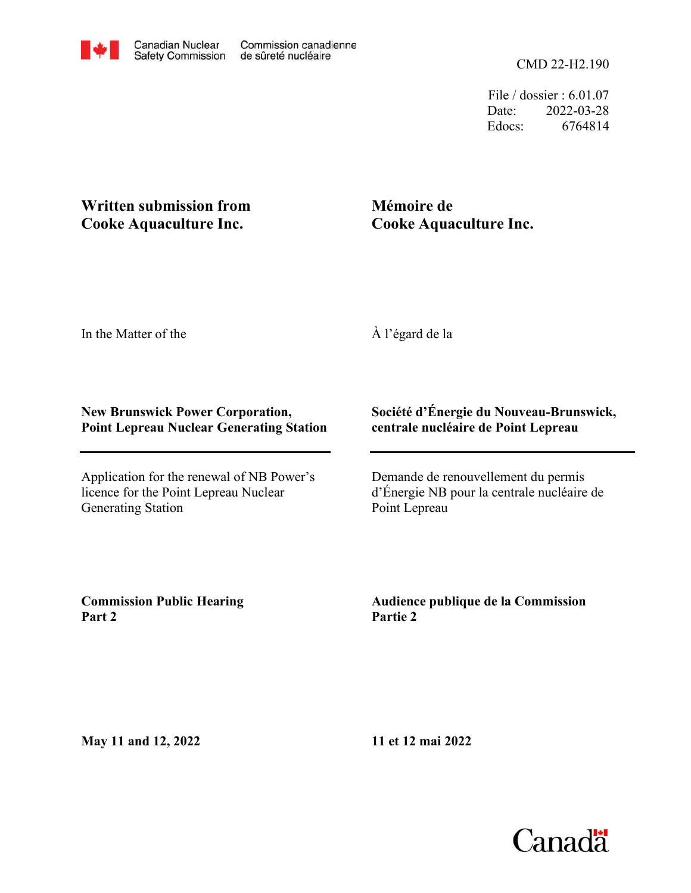File / dossier : 6.01.07 Date: 2022-03-28 Edocs: 6764814

## **Written submission from Cooke Aquaculture Inc.**

# **Mémoire de Cooke Aquaculture Inc.**

In the Matter of the

À l'égard de la

### **New Brunswick Power Corporation, Point Lepreau Nuclear Generating Station**

Application for the renewal of NB Power's licence for the Point Lepreau Nuclear Generating Station

## **Société d'Énergie du Nouveau-Brunswick, centrale nucléaire de Point Lepreau**

Demande de renouvellement du permis d'Énergie NB pour la centrale nucléaire de Point Lepreau

**Commission Public Hearing Part 2**

**Audience publique de la Commission Partie 2**

**May 11 and 12, 2022**

**11 et 12 mai 2022**

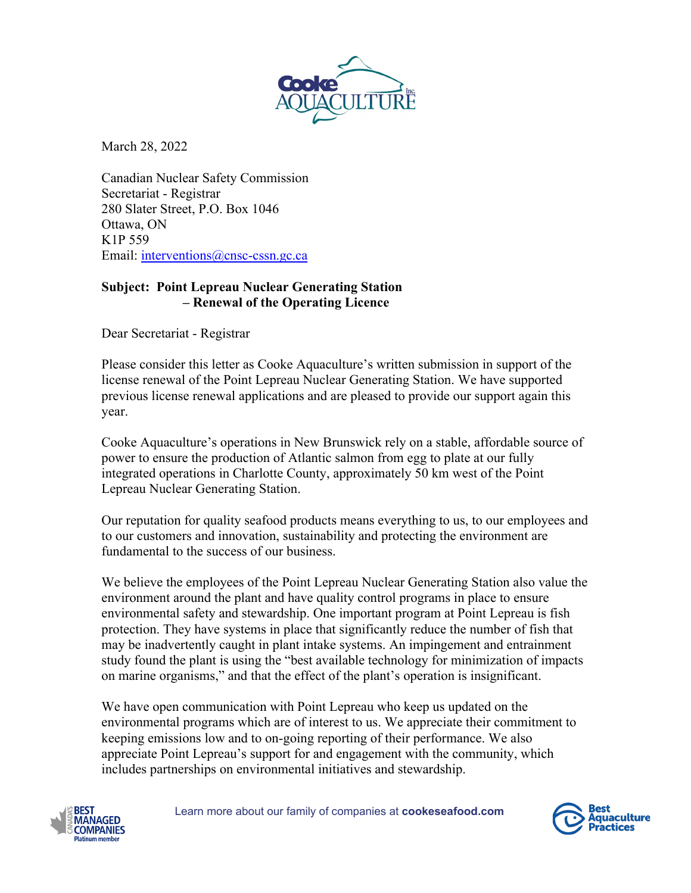

March 28, 2022

Canadian Nuclear Safety Commission Secretariat - Registrar 280 Slater Street, P.O. Box 1046 Ottawa, ON K1P 559 Email: [interventions@cnsc-cssn.gc.ca](mailto:interventions@cnsc-cssn.gc.ca)

#### **Subject: Point Lepreau Nuclear Generating Station – Renewal of the Operating Licence**

Dear Secretariat - Registrar

Please consider this letter as Cooke Aquaculture's written submission in support of the license renewal of the Point Lepreau Nuclear Generating Station. We have supported previous license renewal applications and are pleased to provide our support again this year.

Cooke Aquaculture's operations in New Brunswick rely on a stable, affordable source of power to ensure the production of Atlantic salmon from egg to plate at our fully integrated operations in Charlotte County, approximately 50 km west of the Point Lepreau Nuclear Generating Station.

Our reputation for quality seafood products means everything to us, to our employees and to our customers and innovation, sustainability and protecting the environment are fundamental to the success of our business.

We believe the employees of the Point Lepreau Nuclear Generating Station also value the environment around the plant and have quality control programs in place to ensure environmental safety and stewardship. One important program at Point Lepreau is fish protection. They have systems in place that significantly reduce the number of fish that may be inadvertently caught in plant intake systems. An impingement and entrainment study found the plant is using the "best available technology for minimization of impacts on marine organisms," and that the effect of the plant's operation is insignificant.

We have open communication with Point Lepreau who keep us updated on the environmental programs which are of interest to us. We appreciate their commitment to keeping emissions low and to on-going reporting of their performance. We also appreciate Point Lepreau's support for and engagement with the community, which includes partnerships on environmental initiatives and stewardship.



Learn more about our family of companies at **cookeseafood.com**